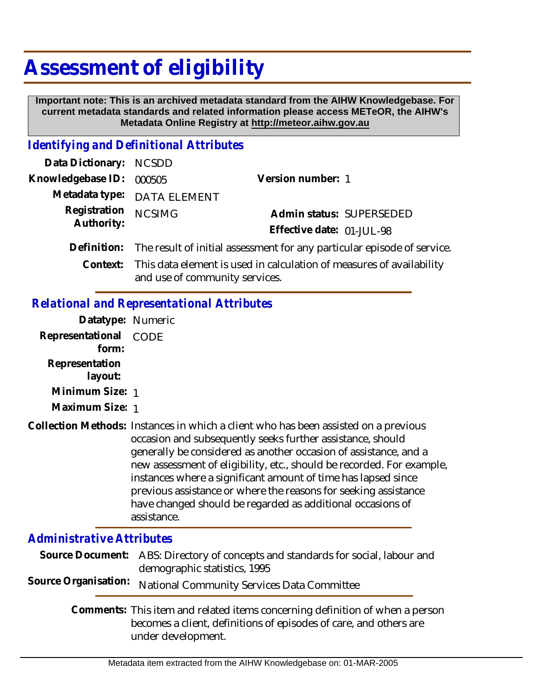## **Assessment of eligibility**

 **Important note: This is an archived metadata standard from the AIHW Knowledgebase. For current metadata standards and related information please access METeOR, the AIHW's Metadata Online Registry at http://meteor.aihw.gov.au**

## *Identifying and Definitional Attributes*

| Data Dictionary: NCSDD   |                                                                                     |                           |
|--------------------------|-------------------------------------------------------------------------------------|---------------------------|
| Knowledgebase ID: 000505 |                                                                                     | Version number: 1         |
|                          | Metadata type: DATA ELEMENT                                                         |                           |
| Registration             | <b>NCSIMG</b>                                                                       | Admin status: SUPERSEDED  |
| Authority:               |                                                                                     | Effective date: 01-JUL-98 |
|                          | Definition: The result of initial assessment for any particular episode of service. |                           |
| Context:                 | This data element is used in calculation of measures of availability                |                           |

and use of community services.

## *Relational and Representational Attributes*

| Datatype: Numeric                |                                                                                                                                                                                                                                                                                                                                                                                                                                                                                                                 |  |
|----------------------------------|-----------------------------------------------------------------------------------------------------------------------------------------------------------------------------------------------------------------------------------------------------------------------------------------------------------------------------------------------------------------------------------------------------------------------------------------------------------------------------------------------------------------|--|
| Representational<br>form:        | CODE                                                                                                                                                                                                                                                                                                                                                                                                                                                                                                            |  |
| Representation<br>layout:        |                                                                                                                                                                                                                                                                                                                                                                                                                                                                                                                 |  |
| Minimum Size: 1                  |                                                                                                                                                                                                                                                                                                                                                                                                                                                                                                                 |  |
| Maximum Size: 1                  |                                                                                                                                                                                                                                                                                                                                                                                                                                                                                                                 |  |
|                                  | Collection Methods: Instances in which a client who has been assisted on a previous<br>occasion and subsequently seeks further assistance, should<br>generally be considered as another occasion of assistance, and a<br>new assessment of eligibility, etc., should be recorded. For example,<br>instances where a significant amount of time has lapsed since<br>previous assistance or where the reasons for seeking assistance<br>have changed should be regarded as additional occasions of<br>assistance. |  |
| <b>Administrative Attributes</b> |                                                                                                                                                                                                                                                                                                                                                                                                                                                                                                                 |  |
| Source Document:                 | ABS: Directory of concepts and standards for social, labour and<br>demographic statistics, 1995                                                                                                                                                                                                                                                                                                                                                                                                                 |  |
| Source Organisation:             | National Community Services Data Committee                                                                                                                                                                                                                                                                                                                                                                                                                                                                      |  |

Comments: This item and related items concerning definition of when a person becomes a client, definitions of episodes of care, and others are under development.